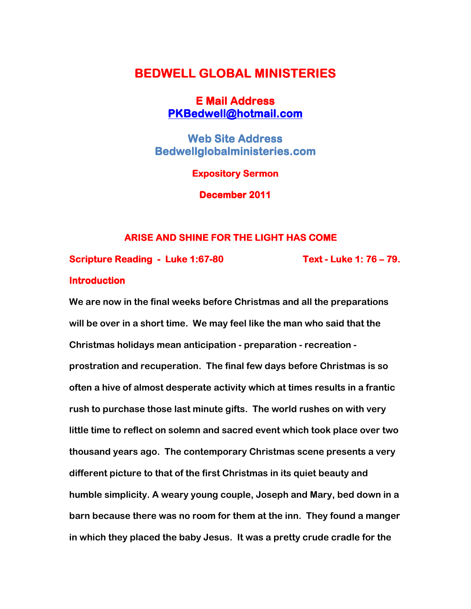# BEDWELL GLOBAL MINISTERIES

## **E Mail Address** PKBedwell@hotmail.com

**Web Site Address** Bedwellglobalministeries.com

**Expository Sermon** 

December 2011

## ARISE AND SHINE FOR THE LIGHT HAS COME

Scripture Reading - Luke 1:67-80 Text - Luke 1:76 - 79.

## **Introduction**

We are now in the final weeks before Christmas and all the preparations will be over in a short time. We may feel like the man who said that the Christmas holidays mean anticipation - preparation - recreation prostration and recuperation. The final few days before Christmas is so often a hive of almost desperate activity which at times results in a frantic rush to purchase those last minute gifts. The world rushes on with very little time to reflect on solemn and sacred event which took place over two thousand years ago. The contemporary Christmas scene presents a very different picture to that of the first Christmas in its quiet beauty and humble simplicity. A weary young couple, Joseph and Mary, bed down in a barn because there was no room for them at the inn. They found a manger in which they placed the baby Jesus. It was a pretty crude cradle for the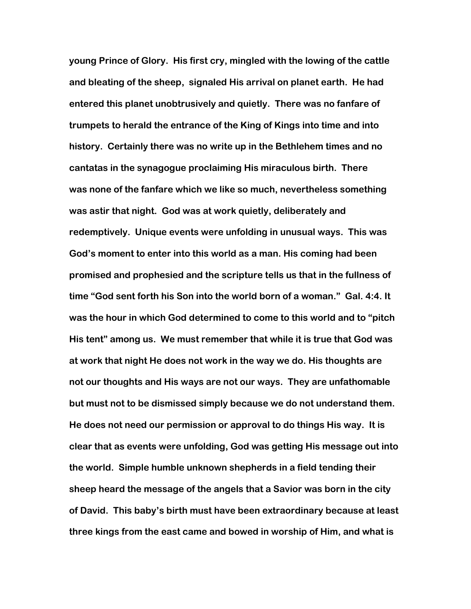young Prince of Glory. His first cry, mingled with the lowing of the cattle and bleating of the sheep, signaled His arrival on planet earth. He had entered this planet unobtrusively and quietly. There was no fanfare of trumpets to herald the entrance of the King of Kings into time and into history. Certainly there was no write up in the Bethlehem times and no cantatas in the synagogue proclaiming His miraculous birth. There was none of the fanfare which we like so much, nevertheless something was astir that night. God was at work quietly, deliberately and redemptively. Unique events were unfolding in unusual ways. This was God's moment to enter into this world as a man. His coming had been promised and prophesied and the scripture tells us that in the fullness of time "God sent forth his Son into the world born of a woman." Gal. 4:4. It was the hour in which God determined to come to this world and to "pitch His tent" among us. We must remember that while it is true that God was at work that night He does not work in the way we do. His thoughts are not our thoughts and His ways are not our ways. They are unfathomable but must not to be dismissed simply because we do not understand them. He does not need our permission or approval to do things His way. It is clear that as events were unfolding, God was getting His message out into the world. Simple humble unknown shepherds in a field tending their sheep heard the message of the angels that a Savior was born in the city of David. This baby's birth must have been extraordinary because at least three kings from the east came and bowed in worship of Him, and what is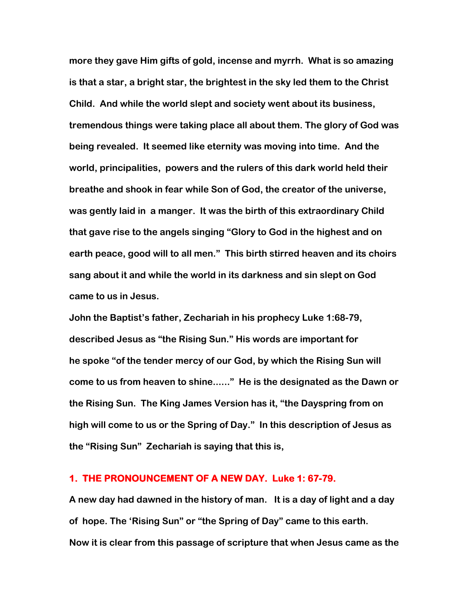more they gave Him gifts of gold, incense and myrrh. What is so amazing is that a star, a bright star, the brightest in the sky led them to the Christ Child. And while the world slept and society went about its business, tremendous things were taking place all about them. The glory of God was being revealed. It seemed like eternity was moving into time. And the world, principalities, powers and the rulers of this dark world held their breathe and shook in fear while Son of God, the creator of the universe, was gently laid in a manger. It was the birth of this extraordinary Child that gave rise to the angels singing "Glory to God in the highest and on earth peace, good will to all men." This birth stirred heaven and its choirs sang about it and while the world in its darkness and sin slept on God came to us in Jesus.

John the Baptist's father, Zechariah in his prophecy Luke 1:68-79, described Jesus as "the Rising Sun." His words are important for he spoke "of the tender mercy of our God, by which the Rising Sun will come to us from heaven to shine......" He is the designated as the Dawn or the Rising Sun. The King James Version has it, "the Dayspring from on high will come to us or the Spring of Day." In this description of Jesus as the "Rising Sun" Zechariah is saying that this is,

#### 1. THE PRONOUNCEMENT OF A NEW DAY. Luke 1: 67-79.

A new day had dawned in the history of man. It is a day of light and a day of hope. The 'Rising Sun" or "the Spring of Day" came to this earth. Now it is clear from this passage of scripture that when Jesus came as the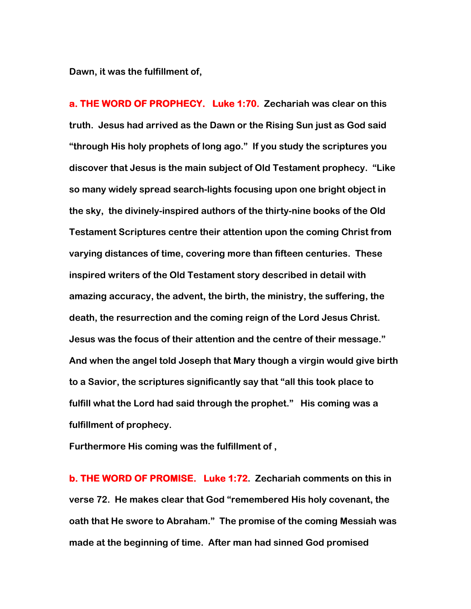Dawn, it was the fulfillment of,

**a. THE WORD OF PROPHECY. Luke 1:70. Zechariah was clear on this** truth. Jesus had arrived as the Dawn or the Rising Sun just as God said "through His holy prophets of long ago." If you study the scriptures you discover that Jesus is the main subject of Old Testament prophecy. "Like so many widely spread search-lights focusing upon one bright object in the sky, the divinely-inspired authors of the thirty-nine books of the Old Testament Scriptures centre their attention upon the coming Christ from varying distances of time, covering more than fifteen centuries. These inspired writers of the Old Testament story described in detail with amazing accuracy, the advent, the birth, the ministry, the suffering, the death, the resurrection and the coming reign of the Lord Jesus Christ. Jesus was the focus of their attention and the centre of their message." And when the angel told Joseph that Mary though a virgin would give birth to a Savior, the scriptures significantly say that "all this took place to fulfill what the Lord had said through the prophet." His coming was a fulfillment of prophecy.

Furthermore His coming was the fulfillment of ,

b. THE WORD OF PROMISE. Luke 1:72. Zechariah comments on this in verse 72. He makes clear that God "remembered His holy covenant, the oath that He swore to Abraham." The promise of the coming Messiah was made at the beginning of time. After man had sinned God promised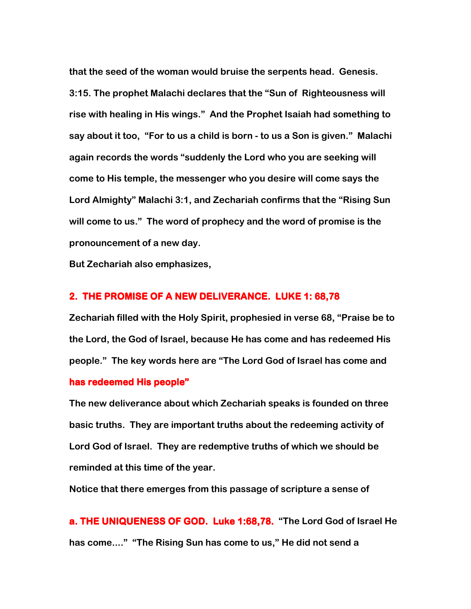that the seed of the woman would bruise the serpents head. Genesis. 3:15. The prophet Malachi declares that the "Sun of Righteousness will rise with healing in His wings." And the Prophet Isaiah had something to say about it too, "For to us a child is born - to us a Son is given." Malachi again records the words "suddenly the Lord who you are seeking will come to His temple, the messenger who you desire will come says the Lord Almighty" Malachi 3:1, and Zechariah confirms that the "Rising Sun will come to us." The word of prophecy and the word of promise is the pronouncement of a new day.

But Zechariah also emphasizes,

#### 2. THE PROMISE OF A NEW DELIVERANCE. LUKE 1: 68,78

Zechariah filled with the Holy Spirit, prophesied in verse 68, "Praise be to the Lord, the God of Israel, because He has come and has redeemed His people." The key words here are "The Lord God of Israel has come and has redeemed His people"

The new deliverance about which Zechariah speaks is founded on three basic truths. They are important truths about the redeeming activity of Lord God of Israel. They are redemptive truths of which we should be reminded at this time of the year.

Notice that there emerges from this passage of scripture a sense of

a. THE UNIQUENESS OF GOD. Luke 1:68,78. "The Lord God of Israel He has come...." "The Rising Sun has come to us," He did not send a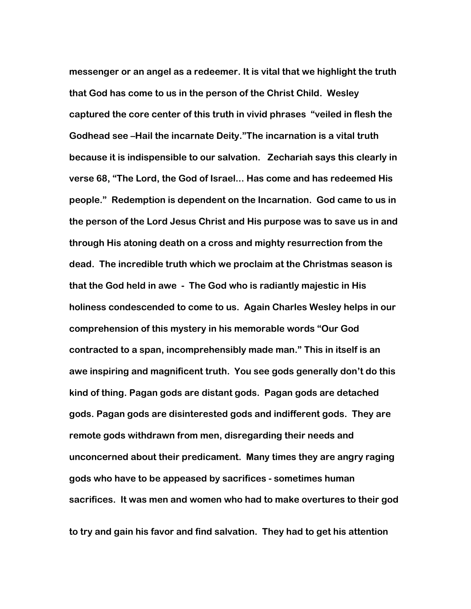messenger or an angel as a redeemer. It is vital that we highlight the truth that God has come to us in the person of the Christ Child. Wesley captured the core center of this truth in vivid phrases "veiled in flesh the Godhead see –Hail the incarnate Deity."The incarnation is a vital truth because it is indispensible to our salvation. Zechariah says this clearly in verse 68, "The Lord, the God of Israel... Has come and has redeemed His people." Redemption is dependent on the Incarnation. God came to us in the person of the Lord Jesus Christ and His purpose was to save us in and through His atoning death on a cross and mighty resurrection from the dead. The incredible truth which we proclaim at the Christmas season is that the God held in awe - The God who is radiantly majestic in His holiness condescended to come to us. Again Charles Wesley helps in our comprehension of this mystery in his memorable words "Our God contracted to a span, incomprehensibly made man." This in itself is an awe inspiring and magnificent truth. You see gods generally don't do this kind of thing. Pagan gods are distant gods. Pagan gods are detached gods. Pagan gods are disinterested gods and indifferent gods. They are remote gods withdrawn from men, disregarding their needs and unconcerned about their predicament. Many times they are angry raging gods who have to be appeased by sacrifices - sometimes human sacrifices. It was men and women who had to make overtures to their god

to try and gain his favor and find salvation. They had to get his attention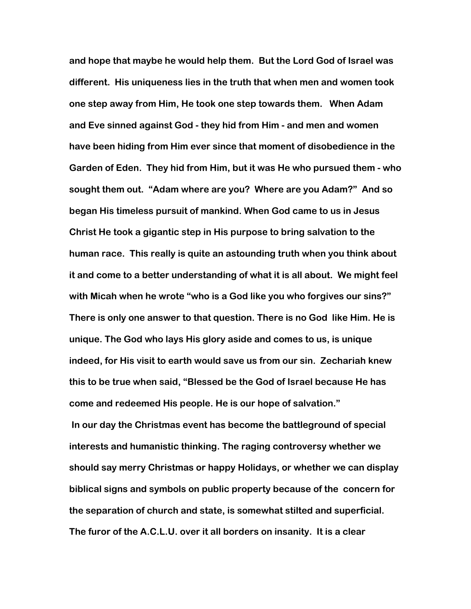and hope that maybe he would help them. But the Lord God of Israel was different. His uniqueness lies in the truth that when men and women took one step away from Him, He took one step towards them. When Adam and Eve sinned against God - they hid from Him - and men and women have been hiding from Him ever since that moment of disobedience in the Garden of Eden. They hid from Him, but it was He who pursued them - who sought them out. "Adam where are you? Where are you Adam?" And so began His timeless pursuit of mankind. When God came to us in Jesus Christ He took a gigantic step in His purpose to bring salvation to the human race. This really is quite an astounding truth when you think about it and come to a better understanding of what it is all about. We might feel with Micah when he wrote "who is a God like you who forgives our sins?" There is only one answer to that question. There is no God like Him. He is unique. The God who lays His glory aside and comes to us, is unique indeed, for His visit to earth would save us from our sin. Zechariah knew this to be true when said, "Blessed be the God of Israel because He has come and redeemed His people. He is our hope of salvation." In our day the Christmas event has become the battleground of special interests and humanistic thinking. The raging controversy whether we should say merry Christmas or happy Holidays, or whether we can display biblical signs and symbols on public property because of the concern for the separation of church and state, is somewhat stilted and superficial. The furor of the A.C.L.U. over it all borders on insanity. It is a clear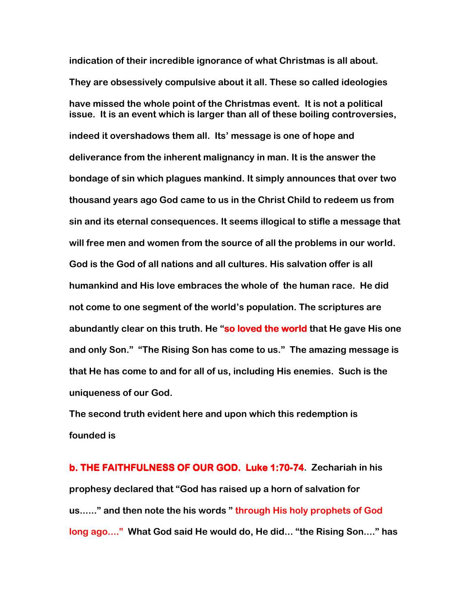indication of their incredible ignorance of what Christmas is all about. They are obsessively compulsive about it all. These so called ideologies have missed the whole point of the Christmas event. It is not a political issue. It is an event which is larger than all of these boiling controversies, indeed it overshadows them all. Its' message is one of hope and deliverance from the inherent malignancy in man. It is the answer the bondage of sin which plagues mankind. It simply announces that over two thousand years ago God came to us in the Christ Child to redeem us from sin and its eternal consequences. It seems illogical to stifle a message that will free men and women from the source of all the problems in our worId. God is the God of all nations and all cultures. His salvation offer is all humankind and His love embraces the whole of the human race. He did not come to one segment of the world's population. The scriptures are abundantly clear on this truth. He "so loved the world that He gave His one and only Son." "The Rising Son has come to us." The amazing message is that He has come to and for all of us, including His enemies. Such is the uniqueness of our God.

The second truth evident here and upon which this redemption is founded is

b. THE FAITHFULNESS OF OUR GOD. Luke 1:70-74. Zechariah in his prophesy declared that "God has raised up a horn of salvation for us......" and then note the his words " through His holy prophets of God long ago...." What God said He would do, He did... "the Rising Son...." has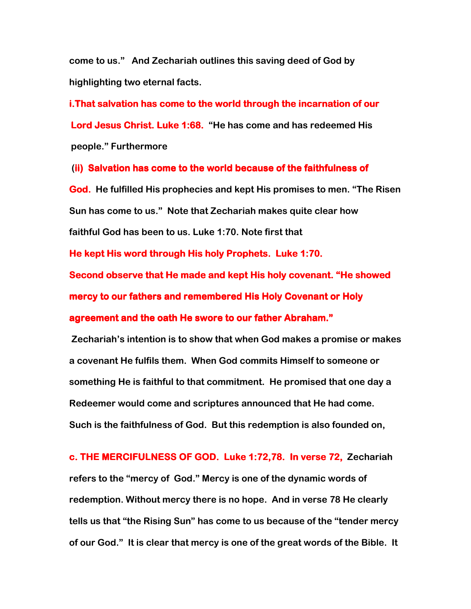come to us." And Zechariah outlines this saving deed of God by highlighting two eternal facts.

i.That salvation has come to the world through the incarnation of our Lord Jesus Christ. Luke 1:68. "He has come and has redeemed His people." Furthermore

(ii) Salvation has come to the world because of the faithfulness of God. He fulfilled His prophecies and kept His promises to men. "The Risen Sun has come to us." Note that Zechariah makes quite clear how faithful God has been to us. Luke 1:70. Note first that

He kept His word through His holy Prophets. Luke 1:70.

Second observe that He made and kept His holy covenant. "He showed mercy to our fathers and remembered His Holy Covenant or Holy agreement and the oath He swore to our father Abraham."

 Zechariah's intention is to show that when God makes a promise or makes a covenant He fulfils them. When God commits Himself to someone or something He is faithful to that commitment. He promised that one day a Redeemer would come and scriptures announced that He had come. Such is the faithfulness of God. But this redemption is also founded on,

c. THE MERCIFULNESS OF GOD. Luke 1:72,78. In verse 72, Zechariah refers to the "mercy of God." Mercy is one of the dynamic words of redemption. Without mercy there is no hope. And in verse 78 He clearly tells us that "the Rising Sun" has come to us because of the "tender mercy of our God." It is clear that mercy is one of the great words of the Bible. It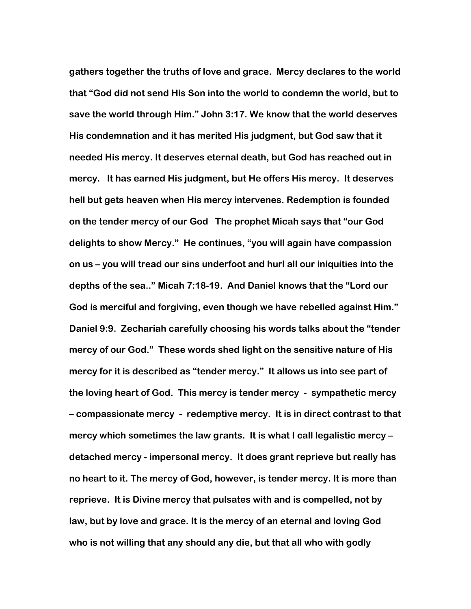gathers together the truths of love and grace. Mercy declares to the world that "God did not send His Son into the world to condemn the world, but to save the world through Him." John 3:17. We know that the world deserves His condemnation and it has merited His judgment, but God saw that it needed His mercy. It deserves eternal death, but God has reached out in mercy. It has earned His judgment, but He offers His mercy. It deserves hell but gets heaven when His mercy intervenes. Redemption is founded on the tender mercy of our God The prophet Micah says that "our God delights to show Mercy." He continues, "you will again have compassion on us – you will tread our sins underfoot and hurl all our iniquities into the depths of the sea.." Micah 7:18-19. And Daniel knows that the "Lord our God is merciful and forgiving, even though we have rebelled against Him." Daniel 9:9. Zechariah carefully choosing his words talks about the "tender mercy of our God." These words shed light on the sensitive nature of His mercy for it is described as "tender mercy." It allows us into see part of the loving heart of God. This mercy is tender mercy - sympathetic mercy – compassionate mercy - redemptive mercy. It is in direct contrast to that mercy which sometimes the law grants. It is what I call legalistic mercy – detached mercy - impersonal mercy. It does grant reprieve but really has no heart to it. The mercy of God, however, is tender mercy. It is more than reprieve. It is Divine mercy that pulsates with and is compelled, not by law, but by love and grace. It is the mercy of an eternal and loving God who is not willing that any should any die, but that all who with godly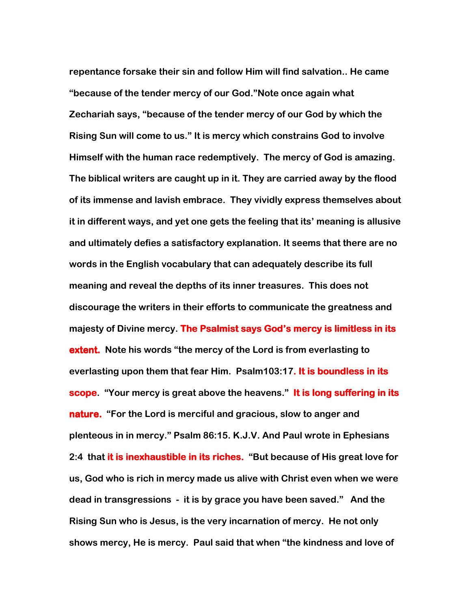repentance forsake their sin and follow Him will find salvation.. He came "because of the tender mercy of our God."Note once again what Zechariah says, "because of the tender mercy of our God by which the Rising Sun will come to us." It is mercy which constrains God to involve Himself with the human race redemptively. The mercy of God is amazing. The biblical writers are caught up in it. They are carried away by the flood of its immense and lavish embrace. They vividly express themselves about it in different ways, and yet one gets the feeling that its' meaning is allusive and ultimately defies a satisfactory explanation. It seems that there are no words in the English vocabulary that can adequately describe its full meaning and reveal the depths of its inner treasures. This does not discourage the writers in their efforts to communicate the greatness and majesty of Divine mercy. The Psalmist says God's mercy is limitless in its extent. Note his words "the mercy of the Lord is from everlasting to everlasting upon them that fear Him. Psalm103:17. It is boundless in its scope. "Your mercy is great above the heavens." It is long suffering in its nature. "For the Lord is merciful and gracious, slow to anger and plenteous in in mercy." Psalm 86:15. K.J.V. And Paul wrote in Ephesians 2:4 that it is inexhaustible in its riches. "But because of His great love for us, God who is rich in mercy made us alive with Christ even when we were dead in transgressions - it is by grace you have been saved." And the Rising Sun who is Jesus, is the very incarnation of mercy. He not only shows mercy, He is mercy. Paul said that when "the kindness and love of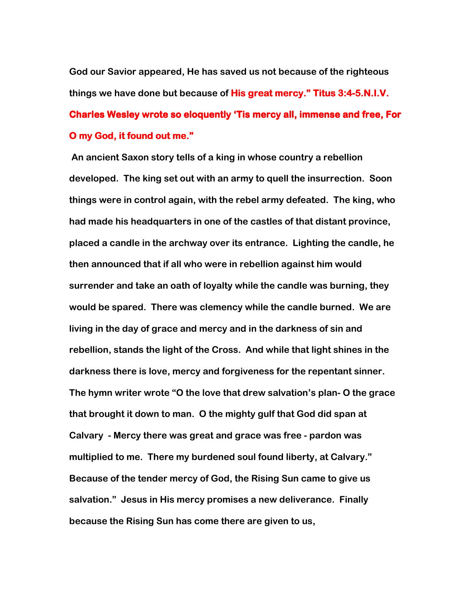God our Savior appeared, He has saved us not because of the righteous things we have done but because of **His great mercy." Titus 3:4-5.N.I.V.** Charles Wesley wrote so eloquently 'Tis mercy all, immense and free, For O my God, it found out me."

 An ancient Saxon story tells of a king in whose country a rebellion developed. The king set out with an army to quell the insurrection. Soon things were in control again, with the rebel army defeated. The king, who had made his headquarters in one of the castles of that distant province, placed a candle in the archway over its entrance. Lighting the candle, he then announced that if all who were in rebellion against him would surrender and take an oath of loyalty while the candle was burning, they would be spared. There was clemency while the candle burned. We are living in the day of grace and mercy and in the darkness of sin and rebellion, stands the light of the Cross. And while that light shines in the darkness there is love, mercy and forgiveness for the repentant sinner. The hymn writer wrote "O the love that drew salvation's plan- O the grace that brought it down to man. O the mighty gulf that God did span at Calvary - Mercy there was great and grace was free - pardon was multiplied to me. There my burdened soul found liberty, at Calvary." Because of the tender mercy of God, the Rising Sun came to give us salvation." Jesus in His mercy promises a new deliverance. Finally because the Rising Sun has come there are given to us,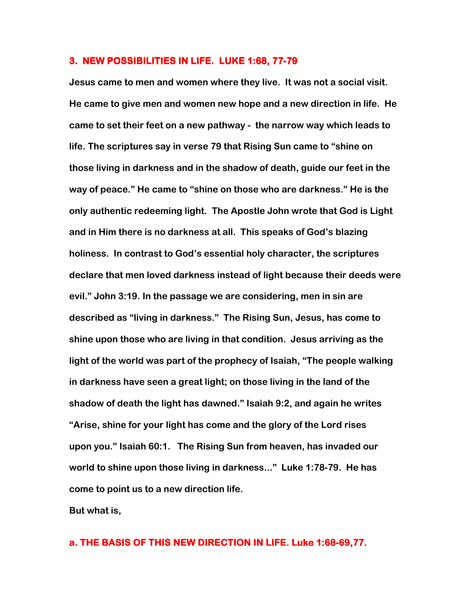#### 3. NEW POSSIBILITIES IN LIFE. LUKE 1:68, 77-79

Jesus came to men and women where they live. It was not a social visit. He came to give men and women new hope and a new direction in life. He came to set their feet on a new pathway - the narrow way which leads to life. The scriptures say in verse 79 that Rising Sun came to "shine on those living in darkness and in the shadow of death, guide our feet in the way of peace." He came to "shine on those who are darkness." He is the only authentic redeeming light. The Apostle John wrote that God is Light and in Him there is no darkness at all. This speaks of God's blazing holiness. In contrast to God's essential holy character, the scriptures declare that men loved darkness instead of light because their deeds were evil." John 3:19. In the passage we are considering, men in sin are described as "living in darkness." The Rising Sun, Jesus, has come to shine upon those who are living in that condition. Jesus arriving as the light of the world was part of the prophecy of Isaiah, "The people walking in darkness have seen a great light; on those living in the land of the shadow of death the light has dawned." Isaiah 9:2, and again he writes "Arise, shine for your light has come and the glory of the Lord rises upon you." Isaiah 60:1. The Rising Sun from heaven, has invaded our world to shine upon those living in darkness..." Luke 1:78-79. He has come to point us to a new direction life.

But what is,

## a. THE BASIS OF THIS NEW DIRECTION IN LIFE. Luke 1:68-69,77.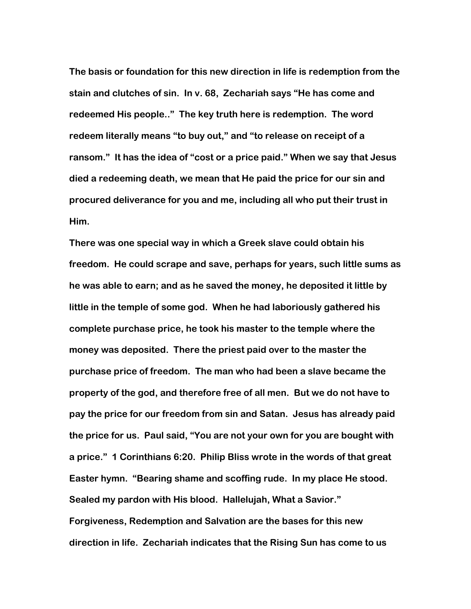The basis or foundation for this new direction in life is redemption from the stain and clutches of sin. In v. 68, Zechariah says "He has come and redeemed His people.." The key truth here is redemption. The word redeem literally means "to buy out," and "to release on receipt of a ransom." It has the idea of "cost or a price paid." When we say that Jesus died a redeeming death, we mean that He paid the price for our sin and procured deliverance for you and me, including all who put their trust in Him.

There was one special way in which a Greek slave could obtain his freedom. He could scrape and save, perhaps for years, such little sums as he was able to earn; and as he saved the money, he deposited it little by little in the temple of some god. When he had laboriously gathered his complete purchase price, he took his master to the temple where the money was deposited. There the priest paid over to the master the purchase price of freedom. The man who had been a slave became the property of the god, and therefore free of all men. But we do not have to pay the price for our freedom from sin and Satan. Jesus has already paid the price for us. Paul said, "You are not your own for you are bought with a price." 1 Corinthians 6:20. Philip Bliss wrote in the words of that great Easter hymn. "Bearing shame and scoffing rude. In my place He stood. Sealed my pardon with His blood. Hallelujah, What a Savior." Forgiveness, Redemption and Salvation are the bases for this new direction in life. Zechariah indicates that the Rising Sun has come to us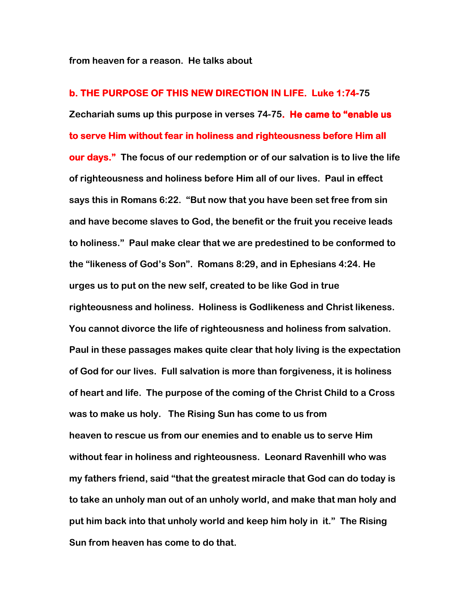from heaven for a reason. He talks about

b. THE PURPOSE OF THIS NEW DIRECTION IN LIFE. Luke 1:74-75 Zechariah sums up this purpose in verses 74-75. He came to "enable us to serve Him without fear in holiness and righteousness before Him all our days." The focus of our redemption or of our salvation is to live the life of righteousness and holiness before Him all of our lives. Paul in effect says this in Romans 6:22. "But now that you have been set free from sin and have become slaves to God, the benefit or the fruit you receive leads to holiness." Paul make clear that we are predestined to be conformed to the "likeness of God's Son". Romans 8:29, and in Ephesians 4:24. He urges us to put on the new self, created to be like God in true righteousness and holiness. Holiness is Godlikeness and Christ likeness. You cannot divorce the life of righteousness and holiness from salvation. Paul in these passages makes quite clear that holy living is the expectation of God for our lives. Full salvation is more than forgiveness, it is holiness of heart and life. The purpose of the coming of the Christ Child to a Cross was to make us holy. The Rising Sun has come to us from heaven to rescue us from our enemies and to enable us to serve Him without fear in holiness and righteousness. Leonard Ravenhill who was my fathers friend, said "that the greatest miracle that God can do today is to take an unholy man out of an unholy world, and make that man holy and put him back into that unholy world and keep him holy in it." The Rising Sun from heaven has come to do that.